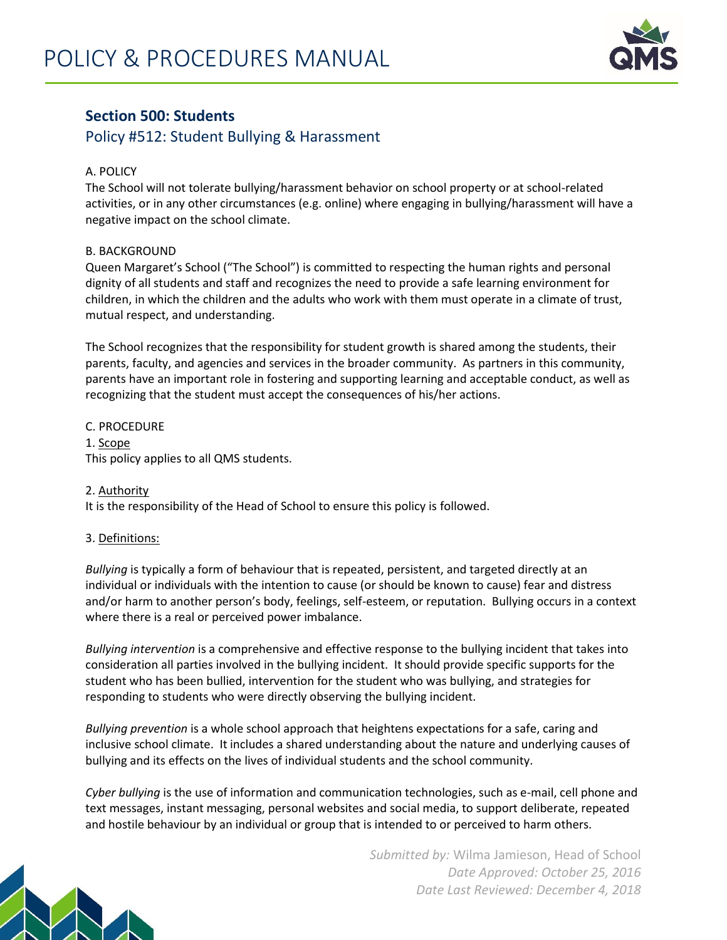

# **Section 500: Students**

## Policy #512: Student Bullying & Harassment

## A. POLICY

The School will not tolerate bullying/harassment behavior on school property or at school-related activities, or in any other circumstances (e.g. online) where engaging in bullying/harassment will have a negative impact on the school climate.

## B. BACKGROUND

Queen Margaret's School ("The School") is committed to respecting the human rights and personal dignity of all students and staff and recognizes the need to provide a safe learning environment for children, in which the children and the adults who work with them must operate in a climate of trust, mutual respect, and understanding.

The School recognizes that the responsibility for student growth is shared among the students, their parents, faculty, and agencies and services in the broader community. As partners in this community, parents have an important role in fostering and supporting learning and acceptable conduct, as well as recognizing that the student must accept the consequences of his/her actions.

C. PROCEDURE 1. Scope This policy applies to all QMS students.

### 2. Authority

It is the responsibility of the Head of School to ensure this policy is followed.

### 3. Definitions:

*Bullying* is typically a form of behaviour that is repeated, persistent, and targeted directly at an individual or individuals with the intention to cause (or should be known to cause) fear and distress and/or harm to another person's body, feelings, self-esteem, or reputation. Bullying occurs in a context where there is a real or perceived power imbalance.

*Bullying intervention* is a comprehensive and effective response to the bullying incident that takes into consideration all parties involved in the bullying incident. It should provide specific supports for the student who has been bullied, intervention for the student who was bullying, and strategies for responding to students who were directly observing the bullying incident.

*Bullying prevention* is a whole school approach that heightens expectations for a safe, caring and inclusive school climate. It includes a shared understanding about the nature and underlying causes of bullying and its effects on the lives of individual students and the school community.

*Cyber bullying* is the use of information and communication technologies, such as e-mail, cell phone and text messages, instant messaging, personal websites and social media, to support deliberate, repeated and hostile behaviour by an individual or group that is intended to or perceived to harm others.



*Submitted by:* Wilma Jamieson, Head of School *Date Approved: October 25, 2016 Date Last Reviewed: December 4, 2018*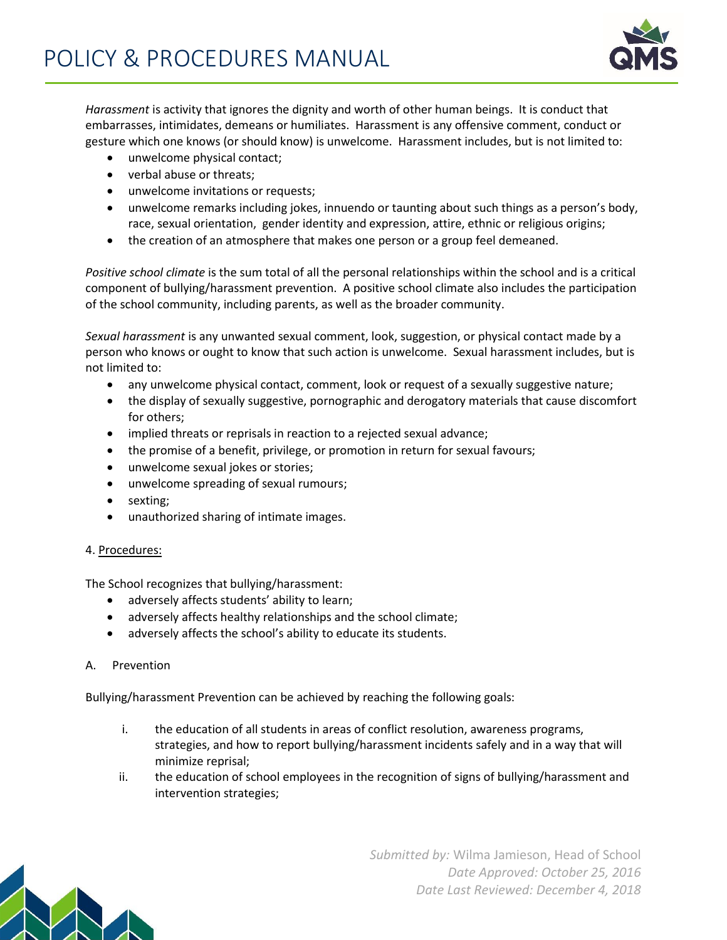

*Harassment* is activity that ignores the dignity and worth of other human beings. It is conduct that embarrasses, intimidates, demeans or humiliates. Harassment is any offensive comment, conduct or gesture which one knows (or should know) is unwelcome. Harassment includes, but is not limited to:

- unwelcome physical contact;
- verbal abuse or threats;
- unwelcome invitations or requests;
- unwelcome remarks including jokes, innuendo or taunting about such things as a person's body, race, sexual orientation, gender identity and expression, attire, ethnic or religious origins;
- the creation of an atmosphere that makes one person or a group feel demeaned.

*Positive school climate* is the sum total of all the personal relationships within the school and is a critical component of bullying/harassment prevention. A positive school climate also includes the participation of the school community, including parents, as well as the broader community.

*Sexual harassment* is any unwanted sexual comment, look, suggestion, or physical contact made by a person who knows or ought to know that such action is unwelcome. Sexual harassment includes, but is not limited to:

- any unwelcome physical contact, comment, look or request of a sexually suggestive nature;
- the display of sexually suggestive, pornographic and derogatory materials that cause discomfort for others;
- implied threats or reprisals in reaction to a rejected sexual advance;
- the promise of a benefit, privilege, or promotion in return for sexual favours;
- unwelcome sexual jokes or stories;
- unwelcome spreading of sexual rumours;
- sexting;
- unauthorized sharing of intimate images.

#### 4. Procedures:

The School recognizes that bullying/harassment:

- adversely affects students' ability to learn;
- adversely affects healthy relationships and the school climate;
- adversely affects the school's ability to educate its students.

#### A. Prevention

Bullying/harassment Prevention can be achieved by reaching the following goals:

- i. the education of all students in areas of conflict resolution, awareness programs, strategies, and how to report bullying/harassment incidents safely and in a way that will minimize reprisal;
- ii. the education of school employees in the recognition of signs of bullying/harassment and intervention strategies;